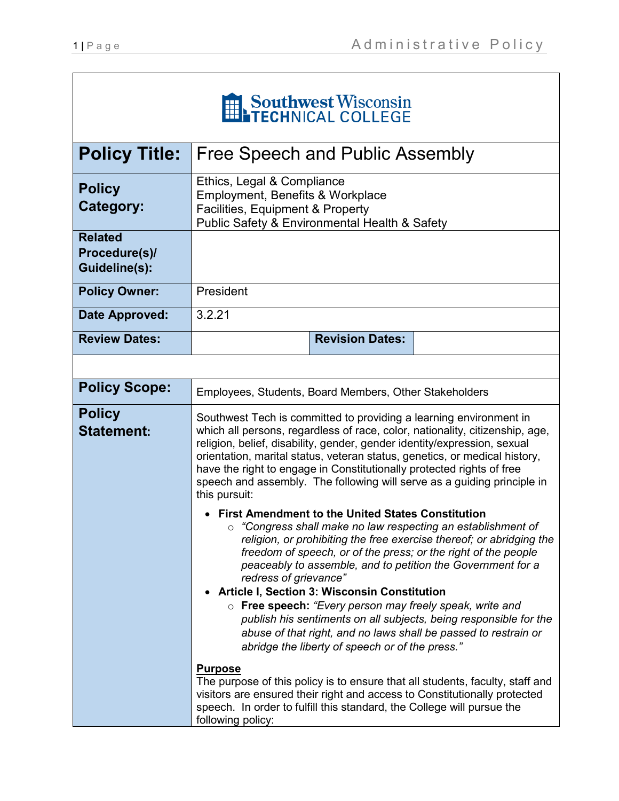| Southwest Wisconsin                                     |                                                                                                                                                                                                                                                                                                                                                                                                                                                                                                                                                                                                                                                                                                                                                                                                                      |  |
|---------------------------------------------------------|----------------------------------------------------------------------------------------------------------------------------------------------------------------------------------------------------------------------------------------------------------------------------------------------------------------------------------------------------------------------------------------------------------------------------------------------------------------------------------------------------------------------------------------------------------------------------------------------------------------------------------------------------------------------------------------------------------------------------------------------------------------------------------------------------------------------|--|
| <b>Policy Title:</b>                                    | Free Speech and Public Assembly                                                                                                                                                                                                                                                                                                                                                                                                                                                                                                                                                                                                                                                                                                                                                                                      |  |
| <b>Policy</b><br>Category:                              | Ethics, Legal & Compliance<br>Employment, Benefits & Workplace<br>Facilities, Equipment & Property<br>Public Safety & Environmental Health & Safety                                                                                                                                                                                                                                                                                                                                                                                                                                                                                                                                                                                                                                                                  |  |
| <b>Related</b><br>Procedure(s)/<br><b>Guideline(s):</b> |                                                                                                                                                                                                                                                                                                                                                                                                                                                                                                                                                                                                                                                                                                                                                                                                                      |  |
| <b>Policy Owner:</b>                                    | President                                                                                                                                                                                                                                                                                                                                                                                                                                                                                                                                                                                                                                                                                                                                                                                                            |  |
| <b>Date Approved:</b>                                   | 3.2.21                                                                                                                                                                                                                                                                                                                                                                                                                                                                                                                                                                                                                                                                                                                                                                                                               |  |
| <b>Review Dates:</b>                                    | <b>Revision Dates:</b>                                                                                                                                                                                                                                                                                                                                                                                                                                                                                                                                                                                                                                                                                                                                                                                               |  |
|                                                         |                                                                                                                                                                                                                                                                                                                                                                                                                                                                                                                                                                                                                                                                                                                                                                                                                      |  |
| <b>Policy Scope:</b>                                    | Employees, Students, Board Members, Other Stakeholders                                                                                                                                                                                                                                                                                                                                                                                                                                                                                                                                                                                                                                                                                                                                                               |  |
| <b>Policy</b><br><b>Statement:</b>                      | Southwest Tech is committed to providing a learning environment in<br>which all persons, regardless of race, color, nationality, citizenship, age,<br>religion, belief, disability, gender, gender identity/expression, sexual<br>orientation, marital status, veteran status, genetics, or medical history,<br>have the right to engage in Constitutionally protected rights of free<br>speech and assembly. The following will serve as a guiding principle in<br>this pursuit:<br><b>First Amendment to the United States Constitution</b><br>"Congress shall make no law respecting an establishment of<br>religion, or prohibiting the free exercise thereof; or abridging the<br>freedom of speech, or of the press; or the right of the people<br>peaceably to assemble, and to petition the Government for a |  |
|                                                         | redress of grievance"<br><b>Article I, Section 3: Wisconsin Constitution</b>                                                                                                                                                                                                                                                                                                                                                                                                                                                                                                                                                                                                                                                                                                                                         |  |
|                                                         | o Free speech: "Every person may freely speak, write and<br>publish his sentiments on all subjects, being responsible for the<br>abuse of that right, and no laws shall be passed to restrain or<br>abridge the liberty of speech or of the press."                                                                                                                                                                                                                                                                                                                                                                                                                                                                                                                                                                  |  |
|                                                         | <b>Purpose</b><br>The purpose of this policy is to ensure that all students, faculty, staff and<br>visitors are ensured their right and access to Constitutionally protected<br>speech. In order to fulfill this standard, the College will pursue the<br>following policy:                                                                                                                                                                                                                                                                                                                                                                                                                                                                                                                                          |  |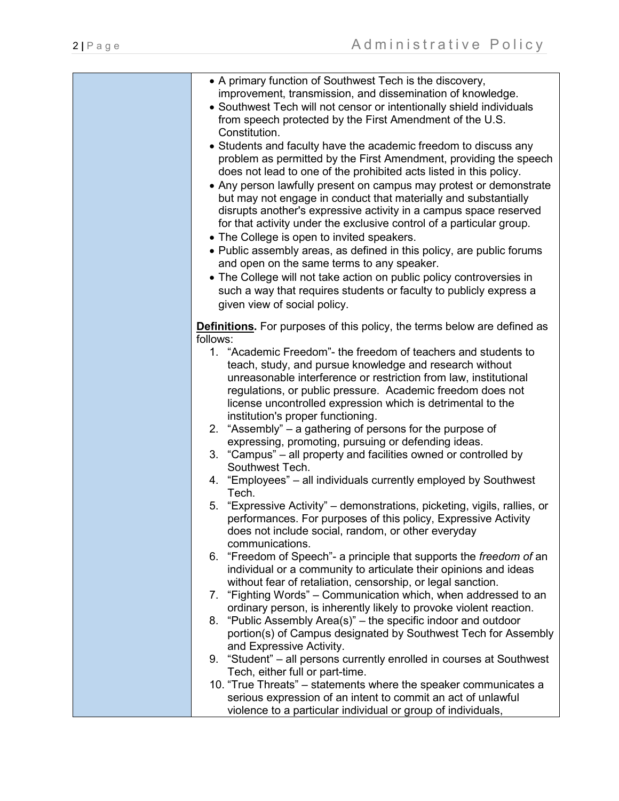| • A primary function of Southwest Tech is the discovery,                                                             |
|----------------------------------------------------------------------------------------------------------------------|
| improvement, transmission, and dissemination of knowledge.                                                           |
| • Southwest Tech will not censor or intentionally shield individuals                                                 |
| from speech protected by the First Amendment of the U.S.                                                             |
| Constitution.                                                                                                        |
| • Students and faculty have the academic freedom to discuss any                                                      |
| problem as permitted by the First Amendment, providing the speech                                                    |
| does not lead to one of the prohibited acts listed in this policy.                                                   |
| • Any person lawfully present on campus may protest or demonstrate                                                   |
| but may not engage in conduct that materially and substantially                                                      |
| disrupts another's expressive activity in a campus space reserved                                                    |
| for that activity under the exclusive control of a particular group.                                                 |
| • The College is open to invited speakers.                                                                           |
| • Public assembly areas, as defined in this policy, are public forums                                                |
| and open on the same terms to any speaker.                                                                           |
| • The College will not take action on public policy controversies in                                                 |
| such a way that requires students or faculty to publicly express a                                                   |
| given view of social policy.                                                                                         |
|                                                                                                                      |
| <b>Definitions.</b> For purposes of this policy, the terms below are defined as                                      |
| follows:                                                                                                             |
| 1. "Academic Freedom"- the freedom of teachers and students to                                                       |
| teach, study, and pursue knowledge and research without                                                              |
| unreasonable interference or restriction from law, institutional                                                     |
| regulations, or public pressure. Academic freedom does not                                                           |
| license uncontrolled expression which is detrimental to the                                                          |
| institution's proper functioning.                                                                                    |
| 2. "Assembly" – a gathering of persons for the purpose of                                                            |
| expressing, promoting, pursuing or defending ideas.                                                                  |
| 3. "Campus" – all property and facilities owned or controlled by                                                     |
| Southwest Tech.                                                                                                      |
| 4. "Employees" – all individuals currently employed by Southwest                                                     |
| Tech.                                                                                                                |
| 5. "Expressive Activity" – demonstrations, picketing, vigils, rallies, or                                            |
| performances. For purposes of this policy, Expressive Activity<br>does not include social, random, or other everyday |
| communications.                                                                                                      |
| 6. "Freedom of Speech"- a principle that supports the freedom of an                                                  |
| individual or a community to articulate their opinions and ideas                                                     |
| without fear of retaliation, censorship, or legal sanction.                                                          |
| 7. "Fighting Words" – Communication which, when addressed to an                                                      |
| ordinary person, is inherently likely to provoke violent reaction.                                                   |
| 8. "Public Assembly Area(s)" – the specific indoor and outdoor                                                       |
| portion(s) of Campus designated by Southwest Tech for Assembly                                                       |
| and Expressive Activity.                                                                                             |
| 9. "Student" – all persons currently enrolled in courses at Southwest                                                |
| Tech, either full or part-time.                                                                                      |
| 10. "True Threats" – statements where the speaker communicates a                                                     |
| serious expression of an intent to commit an act of unlawful                                                         |
| violence to a particular individual or group of individuals,                                                         |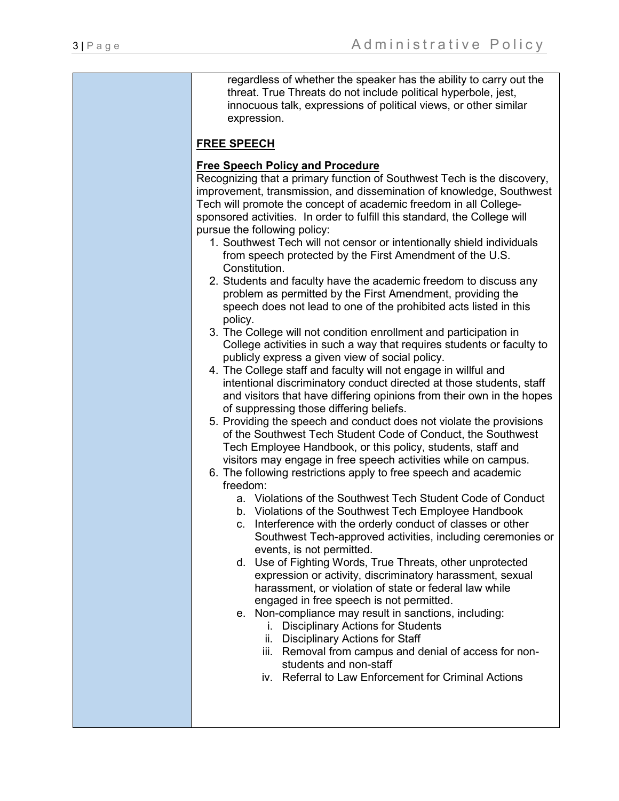regardless of whether the speaker has the ability to carry out the threat. True Threats do not include political hyperbole, jest, innocuous talk, expressions of political views, or other similar expression.

# **FREE SPEECH**

# **Free Speech Policy and Procedure**

Recognizing that a primary function of Southwest Tech is the discovery, improvement, transmission, and dissemination of knowledge, Southwest Tech will promote the concept of academic freedom in all Collegesponsored activities. In order to fulfill this standard, the College will pursue the following policy:

- 1. Southwest Tech will not censor or intentionally shield individuals from speech protected by the First Amendment of the U.S. Constitution.
- 2. Students and faculty have the academic freedom to discuss any problem as permitted by the First Amendment, providing the speech does not lead to one of the prohibited acts listed in this policy.
- 3. The College will not condition enrollment and participation in College activities in such a way that requires students or faculty to publicly express a given view of social policy.
- 4. The College staff and faculty will not engage in willful and intentional discriminatory conduct directed at those students, staff and visitors that have differing opinions from their own in the hopes of suppressing those differing beliefs.
- 5. Providing the speech and conduct does not violate the provisions of the Southwest Tech Student Code of Conduct, the Southwest Tech Employee Handbook, or this policy, students, staff and visitors may engage in free speech activities while on campus.
- 6. The following restrictions apply to free speech and academic freedom:
	- a. Violations of the Southwest Tech Student Code of Conduct
	- b. Violations of the Southwest Tech Employee Handbook
	- c. Interference with the orderly conduct of classes or other Southwest Tech-approved activities, including ceremonies or events, is not permitted.
	- d. Use of Fighting Words, True Threats, other unprotected expression or activity, discriminatory harassment, sexual harassment, or violation of state or federal law while engaged in free speech is not permitted.
	- e. Non-compliance may result in sanctions, including:
		- i. Disciplinary Actions for Students
		- ii. Disciplinary Actions for Staff
		- iii. Removal from campus and denial of access for nonstudents and non-staff
		- iv. Referral to Law Enforcement for Criminal Actions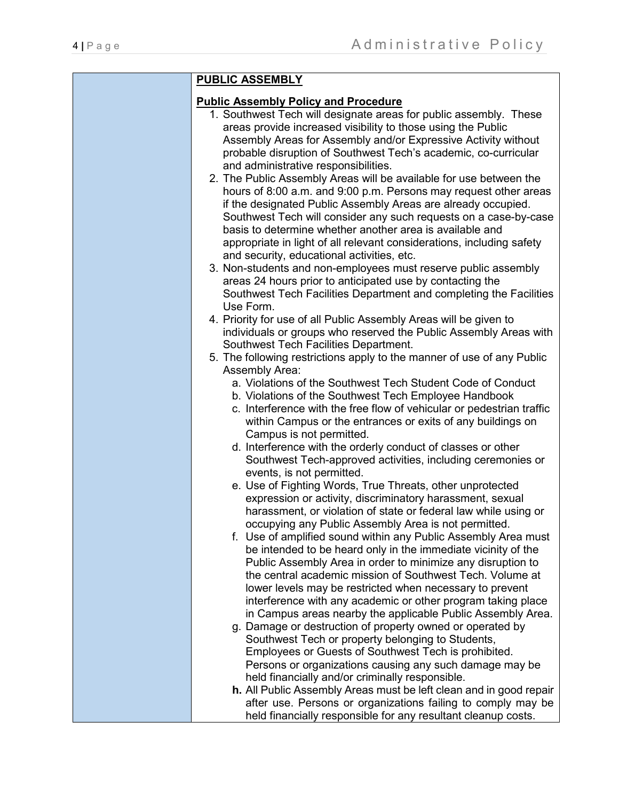|  | <b>PUBLIC ASSEMBLY</b>                                                                                                                 |  |
|--|----------------------------------------------------------------------------------------------------------------------------------------|--|
|  | <b>Public Assembly Policy and Procedure</b>                                                                                            |  |
|  | 1. Southwest Tech will designate areas for public assembly. These                                                                      |  |
|  | areas provide increased visibility to those using the Public                                                                           |  |
|  | Assembly Areas for Assembly and/or Expressive Activity without                                                                         |  |
|  | probable disruption of Southwest Tech's academic, co-curricular                                                                        |  |
|  | and administrative responsibilities.                                                                                                   |  |
|  | 2. The Public Assembly Areas will be available for use between the                                                                     |  |
|  | hours of 8:00 a.m. and 9:00 p.m. Persons may request other areas<br>if the designated Public Assembly Areas are already occupied.      |  |
|  | Southwest Tech will consider any such requests on a case-by-case                                                                       |  |
|  | basis to determine whether another area is available and                                                                               |  |
|  | appropriate in light of all relevant considerations, including safety                                                                  |  |
|  | and security, educational activities, etc.                                                                                             |  |
|  | 3. Non-students and non-employees must reserve public assembly                                                                         |  |
|  | areas 24 hours prior to anticipated use by contacting the                                                                              |  |
|  | Southwest Tech Facilities Department and completing the Facilities                                                                     |  |
|  | Use Form.                                                                                                                              |  |
|  | 4. Priority for use of all Public Assembly Areas will be given to<br>individuals or groups who reserved the Public Assembly Areas with |  |
|  | Southwest Tech Facilities Department.                                                                                                  |  |
|  | 5. The following restrictions apply to the manner of use of any Public                                                                 |  |
|  | Assembly Area:                                                                                                                         |  |
|  | a. Violations of the Southwest Tech Student Code of Conduct                                                                            |  |
|  | b. Violations of the Southwest Tech Employee Handbook                                                                                  |  |
|  | c. Interference with the free flow of vehicular or pedestrian traffic                                                                  |  |
|  | within Campus or the entrances or exits of any buildings on                                                                            |  |
|  | Campus is not permitted.                                                                                                               |  |
|  | d. Interference with the orderly conduct of classes or other<br>Southwest Tech-approved activities, including ceremonies or            |  |
|  | events, is not permitted.                                                                                                              |  |
|  | e. Use of Fighting Words, True Threats, other unprotected                                                                              |  |
|  | expression or activity, discriminatory harassment, sexual                                                                              |  |
|  | harassment, or violation of state or federal law while using or                                                                        |  |
|  | occupying any Public Assembly Area is not permitted.                                                                                   |  |
|  | f. Use of amplified sound within any Public Assembly Area must                                                                         |  |
|  | be intended to be heard only in the immediate vicinity of the<br>Public Assembly Area in order to minimize any disruption to           |  |
|  | the central academic mission of Southwest Tech. Volume at                                                                              |  |
|  | lower levels may be restricted when necessary to prevent                                                                               |  |
|  | interference with any academic or other program taking place                                                                           |  |
|  | in Campus areas nearby the applicable Public Assembly Area.                                                                            |  |
|  | g. Damage or destruction of property owned or operated by                                                                              |  |
|  | Southwest Tech or property belonging to Students,                                                                                      |  |
|  | Employees or Guests of Southwest Tech is prohibited.                                                                                   |  |
|  | Persons or organizations causing any such damage may be                                                                                |  |
|  | held financially and/or criminally responsible.<br>h. All Public Assembly Areas must be left clean and in good repair                  |  |
|  | after use. Persons or organizations failing to comply may be                                                                           |  |
|  | held financially responsible for any resultant cleanup costs.                                                                          |  |
|  |                                                                                                                                        |  |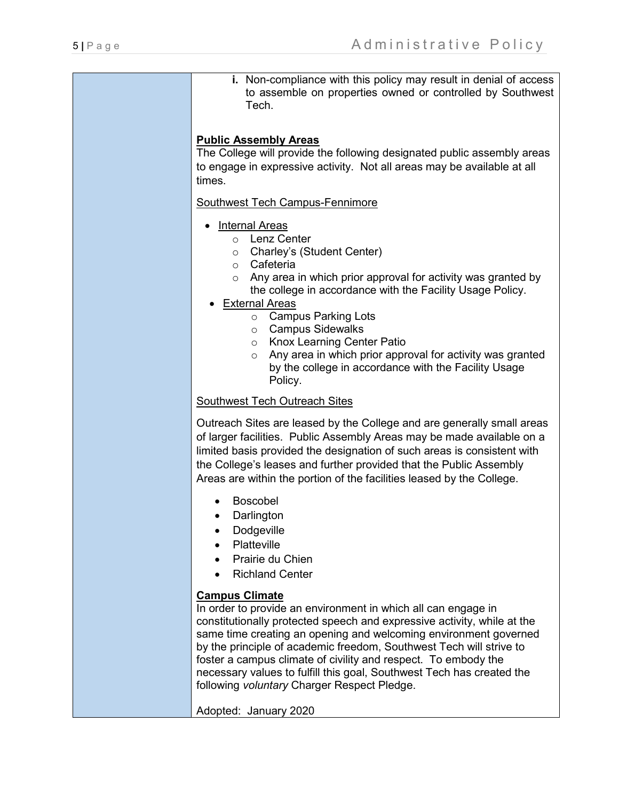**i.** Non-compliance with this policy may result in denial of access to assemble on properties owned or controlled by Southwest Tech.

## **Public Assembly Areas**

The College will provide the following designated public assembly areas to engage in expressive activity. Not all areas may be available at all times.

#### Southwest Tech Campus-Fennimore

- Internal Areas
	- o Lenz Center
	- o Charley's (Student Center)
	- o Cafeteria
	- $\circ$  Any area in which prior approval for activity was granted by the college in accordance with the Facility Usage Policy.
- **External Areas** 
	- o Campus Parking Lots
	- o Campus Sidewalks
	- o Knox Learning Center Patio
	- $\circ$  Any area in which prior approval for activity was granted by the college in accordance with the Facility Usage Policy.

#### Southwest Tech Outreach Sites

Outreach Sites are leased by the College and are generally small areas of larger facilities. Public Assembly Areas may be made available on a limited basis provided the designation of such areas is consistent with the College's leases and further provided that the Public Assembly Areas are within the portion of the facilities leased by the College.

- Boscobel
- Darlington
- Dodgeville
- Platteville
- Prairie du Chien
- Richland Center

## **Campus Climate**

In order to provide an environment in which all can engage in constitutionally protected speech and expressive activity, while at the same time creating an opening and welcoming environment governed by the principle of academic freedom, Southwest Tech will strive to foster a campus climate of civility and respect. To embody the necessary values to fulfill this goal, Southwest Tech has created the following *voluntary* Charger Respect Pledge.

Adopted: January 2020